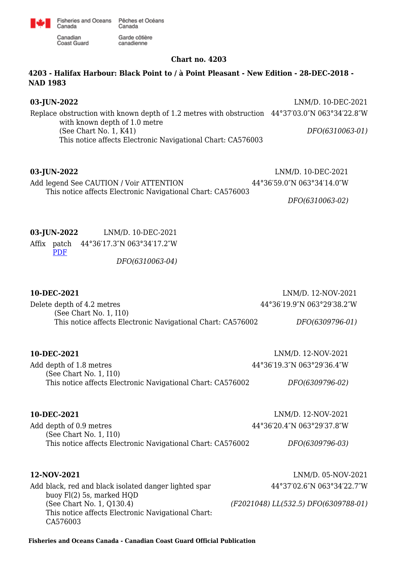

Garde côtière

canadienne

Canadian **Coast Guard** 

Canada

### **Chart no. 4203**

# **4203 - Halifax Harbour: Black Point to / à Point Pleasant - New Edition - 28-DEC-2018 - NAD 1983**

# **03-JUN-2022** LNM/D. 10-DEC-2021

Replace obstruction with known depth of 1.2 metres with obstruction 44°37′03.0″N 063°34′22.8″W with known depth of 1.0 metre (See Chart No. 1, K41) This notice affects Electronic Navigational Chart: CA576003 *DFO(6310063-01)*

**03-JUN-2022** LNM/D. 10-DEC-2021 Add legend See CAUTION / Voir ATTENTION This notice affects Electronic Navigational Chart: CA576003 44°36′59.0″N 063°34′14.0″W

*DFO(6310063-02)*

# **03-JUN-2022** LNM/D. 10-DEC-2021

Affix patch 44°36′17.3″N 063°34′17.2″W [PDF](http://www.chs-shc.gc.ca/patches/4203_6310063_4_202204200953.pdf) *DFO(6310063-04)*

| LNM/D. 12-NOV-2021                                                             |
|--------------------------------------------------------------------------------|
| 44°36'19.9"N 063°29'38.2"W                                                     |
| This notice affects Electronic Navigational Chart: CA576002<br>DFO(6309796-01) |
| LNM/D. 12-NOV-2021                                                             |
| 44°36'19.3"N 063°29'36.4"W                                                     |
| This notice affects Electronic Navigational Chart: CA576002<br>DFO(6309796-02) |
| LNM/D. 12-NOV-2021                                                             |
| 44°36'20.4"N 063°29'37.8"W                                                     |
| This notice affects Electronic Navigational Chart: CA576002<br>DFO(6309796-03) |
| LNM/D. 05-NOV-2021                                                             |
| 44°37'02.6"N 063°34'22.7"W                                                     |
| (F2021048) LL(532.5) DFO(6309788-01)                                           |
|                                                                                |

**Fisheries and Oceans Canada - Canadian Coast Guard Official Publication**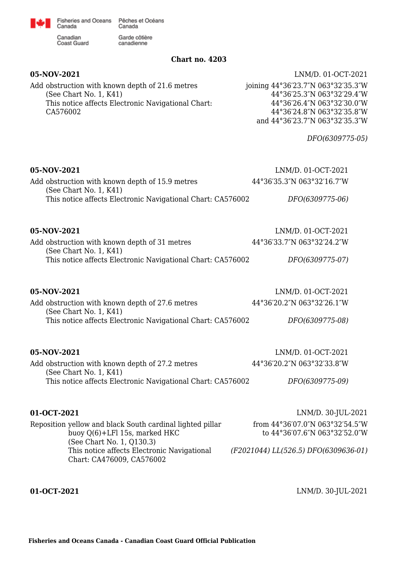

Canadian Coast Guard

Canada

Garde côtière canadienne

### **Chart no. 4203**

Add obstruction with known depth of 21.6 metres (See Chart No. 1, K41) This notice affects Electronic Navigational Chart: CA576002

**05-NOV-2021** LNM/D. 01-OCT-2021 joining 44°36′23.7″N 063°32′35.3″W 44°36′25.3″N 063°32′29.4″W 44°36′26.4″N 063°32′30.0″W 44°36′24.8″N 063°32′35.8″W and 44°36′23.7″N 063°32′35.3″W

*DFO(6309775-05)*

| 05-NOV-2021<br>Add obstruction with known depth of 15.9 metres<br>(See Chart No. 1, K41)              | LNM/D. 01-OCT-2021<br>44°36'35.3"N 063°32'16.7"W                 |
|-------------------------------------------------------------------------------------------------------|------------------------------------------------------------------|
| This notice affects Electronic Navigational Chart: CA576002                                           | DFO(6309775-06)                                                  |
| 05-NOV-2021                                                                                           | LNM/D. 01-OCT-2021                                               |
| Add obstruction with known depth of 31 metres<br>(See Chart No. 1, K41)                               | 44°36'33.7"N 063°32'24.2"W                                       |
| This notice affects Electronic Navigational Chart: CA576002                                           | DFO(6309775-07)                                                  |
| 05-NOV-2021                                                                                           | LNM/D. 01-OCT-2021                                               |
| Add obstruction with known depth of 27.6 metres<br>(See Chart No. 1, K41)                             | 44°36'20.2"N 063°32'26.1"W                                       |
| This notice affects Electronic Navigational Chart: CA576002                                           | DFO(6309775-08)                                                  |
| 05-NOV-2021                                                                                           | LNM/D. 01-OCT-2021                                               |
| Add obstruction with known depth of 27.2 metres<br>(See Chart No. 1, K41)                             | 44°36'20.2"N 063°32'33.8"W                                       |
| This notice affects Electronic Navigational Chart: CA576002                                           | DFO(6309775-09)                                                  |
| 01-OCT-2021                                                                                           | LNM/D. 30-JUL-2021                                               |
| Reposition yellow and black South cardinal lighted pillar<br>buoy Q(6)+LFl 15s, marked HKC            | from 44°36'07.0"N 063°32'54.5"W<br>to 44°36'07.6"N 063°32'52.0"W |
| (See Chart No. 1, Q130.3)<br>This notice affects Electronic Navigational<br>Chart: CA476009, CA576002 | (F2021044) LL(526.5) DFO(6309636-01)                             |

**01-OCT-2021** LNM/D. 30-JUL-2021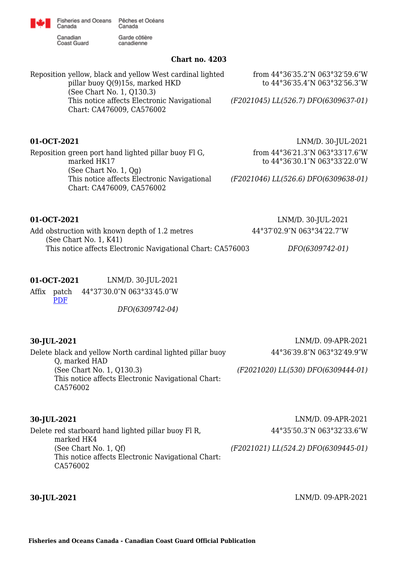

Fisheries and Oceans Pêches et Océans Canada

Canadian **Coast Guard** 

Canada

Garde côtière canadienne

### **Chart no. 4203**

Reposition yellow, black and yellow West cardinal lighted pillar buoy Q(9)15s, marked HKD (See Chart No. 1, Q130.3) This notice affects Electronic Navigational Chart: CA476009, CA576002 from 44°36′35.2″N 063°32′59.6″W to 44°36′35.4″N 063°32′56.3″W *(F2021045) LL(526.7) DFO(6309637-01)*

Reposition green port hand lighted pillar buoy Fl G, marked HK17 (See Chart No. 1, Qg) This notice affects Electronic Navigational *(F2021046) LL(526.6) DFO(6309638-01)* Chart: CA476009, CA576002

**01-OCT-2021** LNM/D. 30-JUL-2021 from 44°36′21.3″N 063°33′17.6″W to 44°36′30.1″N 063°33′22.0″W

**01-OCT-2021** LNM/D. 30-JUL-2021 Add obstruction with known depth of 1.2 metres (See Chart No. 1, K41) This notice affects Electronic Navigational Chart: CA576003 44°37′02.9″N 063°34′22.7″W *DFO(6309742-01)*

# **01-OCT-2021** LNM/D. 30-JUL-2021

Affix patch 44°37′30.0″N 063°33′45.0″W [PDF](http://www.chs-shc.gc.ca/patches/4203_6309742_4_202109030809.pdf) *DFO(6309742-04)*

| 30-JUL-2021 |  |
|-------------|--|
|-------------|--|

**30-JUL-2021** LNM/D. 09-APR-2021 44°36′39.8″N 063°32′49.9″W

Delete black and yellow North cardinal lighted pillar buoy Q, marked HAD (See Chart No. 1, Q130.3) This notice affects Electronic Navigational Chart: CA576002

*(F2021020) LL(530) DFO(6309444-01)*

| 30-JUL-2021                                                                             | LNM/D. 09-APR-2021                   |
|-----------------------------------------------------------------------------------------|--------------------------------------|
| Delete red starboard hand lighted pillar buoy Fl R,<br>marked HK4                       | 44°35'50.3"N 063°32'33.6"W           |
| (See Chart No. 1, Qf)<br>This notice affects Electronic Navigational Chart:<br>CA576002 | (F2021021) LL(524.2) DFO(6309445-01) |

**30-JUL-2021** LNM/D. 09-APR-2021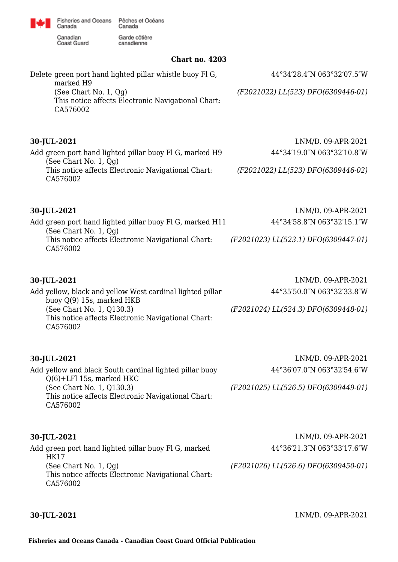

Fisheries and Oceans Pêches et Océans Canada

Garde côtière

canadienne

Canadian **Coast Guard** 

Canada

**Chart no. 4203**

| UHULL HU. TAVJ                                                                             |                                      |
|--------------------------------------------------------------------------------------------|--------------------------------------|
| Delete green port hand lighted pillar whistle buoy Fl G,<br>marked H9                      | 44°34'28.4"N 063°32'07.5"W           |
| (See Chart No. $1, Qg$ )<br>This notice affects Electronic Navigational Chart:<br>CA576002 | (F2021022) LL(523) DFO(6309446-01)   |
| 30-JUL-2021                                                                                | $LNM/D.$ 09-APR-2021                 |
| Add green port hand lighted pillar buoy Fl G, marked H9<br>(See Chart No. 1, Qg)           | 44°34'19.0"N 063°32'10.8"W           |
| This notice affects Electronic Navigational Chart:<br>CA576002                             | (F2021022) LL(523) DFO(6309446-02)   |
| 30-JUL-2021                                                                                | LNM/D. 09-APR-2021                   |
| Add green port hand lighted pillar buoy Fl G, marked H11<br>(See Chart No. $1, Qg$ )       | 44°34′58.8″N 063°32′15.1″W           |
| This notice affects Electronic Navigational Chart:<br>CA576002                             | (F2021023) LL(523.1) DFO(6309447-01) |
| 30-JUL-2021                                                                                | LNM/D. 09-APR-2021                   |

| Add yellow, black and yellow West cardinal lighted pillar | 44°35'50.0"N 063°32'33.8"W           |
|-----------------------------------------------------------|--------------------------------------|
| buoy Q(9) 15s, marked HKB                                 |                                      |
| (See Chart No. 1, Q130.3)                                 | (F2021024) LL(524.3) DFO(6309448-01) |
| This notice affects Electronic Navigational Chart:        |                                      |
| CA576002                                                  |                                      |
|                                                           |                                      |
|                                                           |                                      |

Add yellow and black South cardinal lighted pillar buoy Q(6)+LFl 15s, marked HKC (See Chart No. 1, Q130.3) This notice affects Electronic Navigational Chart: CA576002

**30-JUL-2021** LNM/D. 09-APR-2021 44°36′07.0″N 063°32′54.6″W

*(F2021025) LL(526.5) DFO(6309449-01)*

Add green port hand lighted pillar buoy Fl G, marked HK17 (See Chart No. 1, Qg) This notice affects Electronic Navigational Chart: CA576002

**30-JUL-2021** LNM/D. 09-APR-2021 44°36′21.3″N 063°33′17.6″W

*(F2021026) LL(526.6) DFO(6309450-01)*

**30-JUL-2021** LNM/D. 09-APR-2021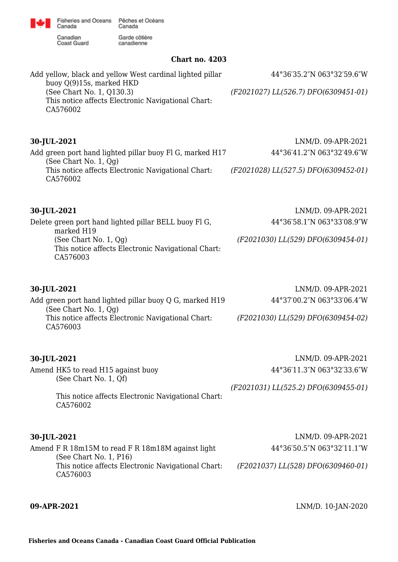Fisheries and Oceans Pêches et Océans Canada

Garde côtière

canadienne

Canadian **Coast Guard** 

Canada

**Chart no. 4203**

Add yellow, black and yellow West cardinal lighted pillar buoy Q(9)15s, marked HKD (See Chart No. 1, Q130.3) This notice affects Electronic Navigational Chart: CA576002 44°36′35.2″N 063°32′59.6″W *(F2021027) LL(526.7) DFO(6309451-01)* **30-JUL-2021** LNM/D. 09-APR-2021 Add green port hand lighted pillar buoy Fl G, marked H17 (See Chart No. 1, Qg) This notice affects Electronic Navigational Chart: CA576002 44°36′41.2″N 063°32′49.6″W *(F2021028) LL(527.5) DFO(6309452-01)* **30-JUL-2021** LNM/D. 09-APR-2021 Delete green port hand lighted pillar BELL buoy Fl G, marked H19 (See Chart No. 1, Qg) This notice affects Electronic Navigational Chart: CA576003 44°36′58.1″N 063°33′08.9″W *(F2021030) LL(529) DFO(6309454-01)* **30-JUL-2021** LNM/D. 09-APR-2021 Add green port hand lighted pillar buoy Q G, marked H19 (See Chart No. 1, Qg) This notice affects Electronic Navigational Chart: CA576003 44°37′00.2″N 063°33′06.4″W *(F2021030) LL(529) DFO(6309454-02)*

# **30-JUL-2021** LNM/D. 09-APR-2021

Amend HK5 to read H15 against buoy (See Chart No. 1, Qf) This notice affects Electronic Navigational Chart: CA576002 44°36′11.3″N 063°32′33.6″W *(F2021031) LL(525.2) DFO(6309455-01)*

## **30-JUL-2021** LNM/D. 09-APR-2021

Amend F R 18m15M to read F R 18m18M against light (See Chart No. 1, P16) This notice affects Electronic Navigational Chart: CA576003 44°36′50.5″N 063°32′11.1″W *(F2021037) LL(528) DFO(6309460-01)*

**09-APR-2021** LNM/D. 10-JAN-2020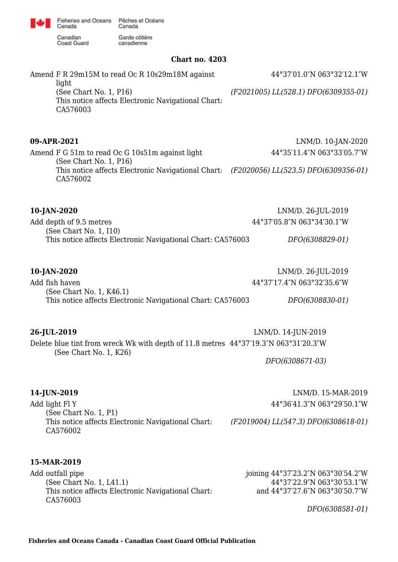Canadian<br>Coast Guard

Canada

Garde côtière canadienne

### **Chart no. 4203**

| Amend F R 29m15M to read Oc R 10s29m18M against                                                                               | 44°37'01.0"N 063°32'12.1"W                                                          |  |
|-------------------------------------------------------------------------------------------------------------------------------|-------------------------------------------------------------------------------------|--|
| light<br>(See Chart No. 1, P16)<br>This notice affects Electronic Navigational Chart:<br>CA576003                             | (F2021005) LL(528.1) DFO(6309355-01)                                                |  |
| 09-APR-2021                                                                                                                   | LNM/D. 10-JAN-2020                                                                  |  |
| Amend F G 51m to read Oc G 10s51m against light                                                                               | 44°35'11.4"N 063°33'05.7"W                                                          |  |
| (See Chart No. 1, P16)<br>This notice affects Electronic Navigational Chart: (F2020056) LL(523.5) DFO(6309356-01)<br>CA576002 |                                                                                     |  |
| 10-JAN-2020                                                                                                                   | LNM/D. 26-JUL-2019                                                                  |  |
| Add depth of 9.5 metres                                                                                                       | 44°37'05.8"N 063°34'30.1"W                                                          |  |
| (See Chart No. 1, I10)<br>This notice affects Electronic Navigational Chart: CA576003                                         | DFO(6308829-01)                                                                     |  |
| 10-JAN-2020                                                                                                                   | LNM/D. 26-JUL-2019                                                                  |  |
| Add fish haven                                                                                                                | 44°37'17.4"N 063°32'35.6"W                                                          |  |
| (See Chart No. 1, K46.1)<br>This notice affects Electronic Navigational Chart: CA576003                                       | DFO(6308830-01)                                                                     |  |
| 26-JUL-2019                                                                                                                   | LNM/D. 14-JUN-2019                                                                  |  |
|                                                                                                                               | Delete blue tint from wreck Wk with depth of 11.8 metres 44°37'19.3"N 063°31'20.3"W |  |
| (See Chart No. 1, K26)                                                                                                        | DFO(6308671-03)                                                                     |  |
| 14-JUN-2019                                                                                                                   | LNM/D. 15-MAR-2019                                                                  |  |
| Add light Fl Y                                                                                                                | 44°36'41.3"N 063°29'50.1"W                                                          |  |
| (See Chart No. 1, P1)<br>This notice affects Electronic Navigational Chart:<br>CA576002                                       | (F2019004) LL(547.3) DFO(6308618-01)                                                |  |
| 15-MAR-2019                                                                                                                   |                                                                                     |  |
| Add outfall pipe<br>$(C_{00} \cap \text{b} \cdot \text{m} \cdot \text{N} \cdot 1 \cdot 1111)$                                 | joining 44°37′23.2″N 063°30′54.2″W<br>$7'22$ $0''1$ $06202052$ $1''11$              |  |

(See Chart No. 1, L41.1) This notice affects Electronic Navigational Chart: CA576003

44°37′22.9″N 063°30′53.1″W and 44°37′27.6″N 063°30′50.7″W

*DFO(6308581-01)*